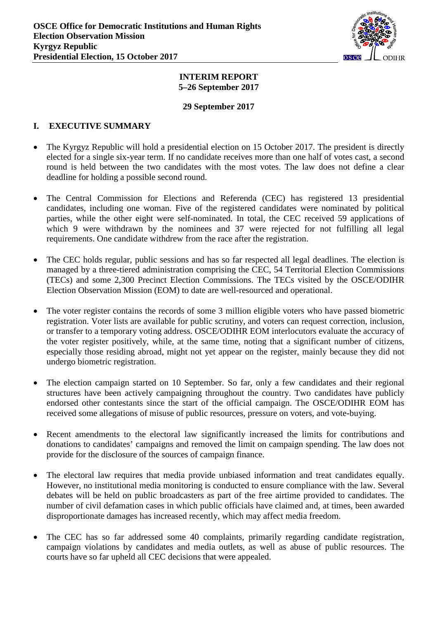

#### **INTERIM REPORT 5–26 September 2017**

#### **29 September 2017**

## **I. EXECUTIVE SUMMARY**

- The Kyrgyz Republic will hold a presidential election on 15 October 2017. The president is directly elected for a single six-year term. If no candidate receives more than one half of votes cast, a second round is held between the two candidates with the most votes. The law does not define a clear deadline for holding a possible second round.
- The Central Commission for Elections and Referenda (CEC) has registered 13 presidential candidates, including one woman. Five of the registered candidates were nominated by political parties, while the other eight were self-nominated. In total, the CEC received 59 applications of which 9 were withdrawn by the nominees and 37 were rejected for not fulfilling all legal requirements. One candidate withdrew from the race after the registration.
- The CEC holds regular, public sessions and has so far respected all legal deadlines. The election is managed by a three-tiered administration comprising the CEC, 54 Territorial Election Commissions (TECs) and some 2,300 Precinct Election Commissions. The TECs visited by the OSCE/ODIHR Election Observation Mission (EOM) to date are well-resourced and operational.
- The voter register contains the records of some 3 million eligible voters who have passed biometric registration. Voter lists are available for public scrutiny, and voters can request correction, inclusion, or transfer to a temporary voting address. OSCE/ODIHR EOM interlocutors evaluate the accuracy of the voter register positively, while, at the same time, noting that a significant number of citizens, especially those residing abroad, might not yet appear on the register, mainly because they did not undergo biometric registration.
- The election campaign started on 10 September. So far, only a few candidates and their regional structures have been actively campaigning throughout the country. Two candidates have publicly endorsed other contestants since the start of the official campaign. The OSCE/ODIHR EOM has received some allegations of misuse of public resources, pressure on voters, and vote-buying.
- Recent amendments to the electoral law significantly increased the limits for contributions and donations to candidates' campaigns and removed the limit on campaign spending. The law does not provide for the disclosure of the sources of campaign finance.
- The electoral law requires that media provide unbiased information and treat candidates equally. However, no institutional media monitoring is conducted to ensure compliance with the law. Several debates will be held on public broadcasters as part of the free airtime provided to candidates. The number of civil defamation cases in which public officials have claimed and, at times, been awarded disproportionate damages has increased recently, which may affect media freedom.
- The CEC has so far addressed some 40 complaints, primarily regarding candidate registration, campaign violations by candidates and media outlets, as well as abuse of public resources. The courts have so far upheld all CEC decisions that were appealed.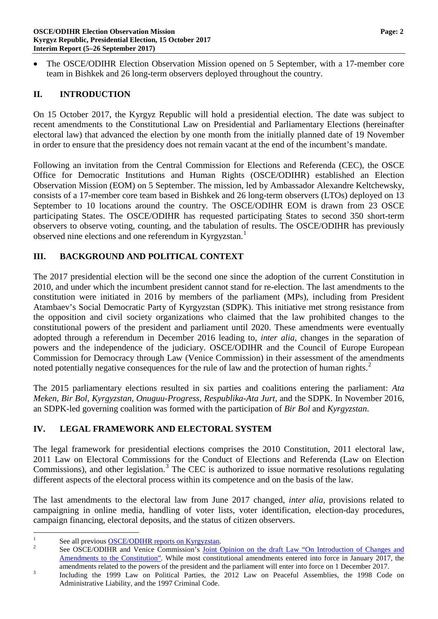• The OSCE/ODIHR Election Observation Mission opened on 5 September, with a 17-member core team in Bishkek and 26 long-term observers deployed throughout the country.

## **II. INTRODUCTION**

On 15 October 2017, the Kyrgyz Republic will hold a presidential election. The date was subject to recent amendments to the Constitutional Law on Presidential and Parliamentary Elections (hereinafter electoral law) that advanced the election by one month from the initially planned date of 19 November in order to ensure that the presidency does not remain vacant at the end of the incumbent's mandate.

Following an invitation from the Central Commission for Elections and Referenda (CEC), the OSCE Office for Democratic Institutions and Human Rights (OSCE/ODIHR) established an Election Observation Mission (EOM) on 5 September. The mission, led by Ambassador Alexandre Keltchewsky, consists of a 17-member core team based in Bishkek and 26 long-term observers (LTOs) deployed on 13 September to 10 locations around the country. The OSCE/ODIHR EOM is drawn from 23 OSCE participating States. The OSCE/ODIHR has requested participating States to second 350 short-term observers to observe voting, counting, and the tabulation of results. The OSCE/ODIHR has previously observed nine elections and one referendum in Kyrgyzstan.<sup>[1](#page-1-0)</sup>

## **III. BACKGROUND AND POLITICAL CONTEXT**

The 2017 presidential election will be the second one since the adoption of the current Constitution in 2010, and under which the incumbent president cannot stand for re-election. The last amendments to the constitution were initiated in 2016 by members of the parliament (MPs), including from President Atambaev's Social Democratic Party of Kyrgyzstan (SDPK). This initiative met strong resistance from the opposition and civil society organizations who claimed that the law prohibited changes to the constitutional powers of the president and parliament until 2020. These amendments were eventually adopted through a referendum in December 2016 leading to, *inter alia*, changes in the separation of powers and the independence of the judiciary. OSCE/ODIHR and the Council of Europe European Commission for Democracy through Law (Venice Commission) in their assessment of the amendments noted potentially negative consequences for the rule of law and the protection of human rights.<sup>[2](#page-1-1)</sup>

The 2015 parliamentary elections resulted in six parties and coalitions entering the parliament: *Ata Meken, Bir Bol, Kyrgyzstan, Onuguu-Progress, Respublika-Ata Jurt,* and the SDPK. In November 2016, an SDPK-led governing coalition was formed with the participation of *Bir Bol* and *Kyrgyzstan*.

## **IV. LEGAL FRAMEWORK AND ELECTORAL SYSTEM**

The legal framework for presidential elections comprises the 2010 Constitution, 2011 electoral law, 2011 Law on Electoral Commissions for the Conduct of Elections and Referenda (Law on Election Commissions), and other legislation.<sup>[3](#page-1-2)</sup> The CEC is authorized to issue normative resolutions regulating different aspects of the electoral process within its competence and on the basis of the law.

The last amendments to the electoral law from June 2017 changed, *inter alia,* provisions related to campaigning in online media, handling of voter lists, voter identification, election-day procedures, campaign financing, electoral deposits, and the status of citizen observers.

<span id="page-1-1"></span>

<span id="page-1-0"></span><sup>&</sup>lt;sup>1</sup> See all previous <u>OSCE/ODIHR reports on Kyrgyzstan</u>.<br><sup>2</sup> See OSCE/ODIHR and Venice Commission's <u>Joint Opinion on the draft Law "On Introduction of Changes and</u> [Amendments to the Constitution".](http://www.osce.org/odihr/313186?download=true) While most constitutional amendments entered into force in January 2017, the

<span id="page-1-2"></span>amendments related to the powers of the president and the parliament will enter into force on 1 December 2017.<br>
<sup>3</sup> Including the 1999 Law on Political Parties, the 2012 Law on Peaceful Assemblies, the 1998 Code on Administrative Liability, and the 1997 Criminal Code.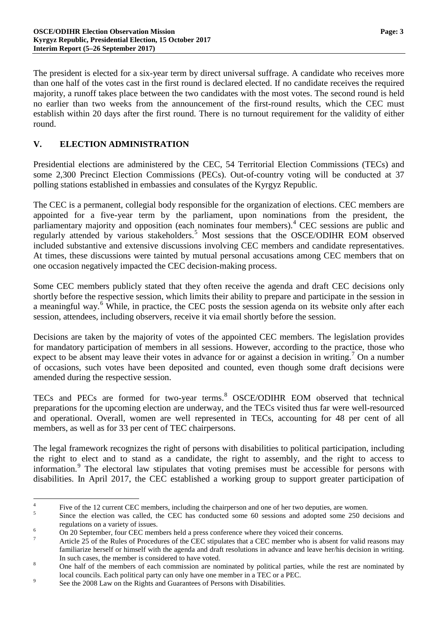The president is elected for a six-year term by direct universal suffrage. A candidate who receives more than one half of the votes cast in the first round is declared elected. If no candidate receives the required majority, a runoff takes place between the two candidates with the most votes. The second round is held no earlier than two weeks from the announcement of the first-round results, which the CEC must establish within 20 days after the first round. There is no turnout requirement for the validity of either round.

# **V. ELECTION ADMINISTRATION**

Presidential elections are administered by the CEC, 54 Territorial Election Commissions (TECs) and some 2,300 Precinct Election Commissions (PECs). Out-of-country voting will be conducted at 37 polling stations established in embassies and consulates of the Kyrgyz Republic.

The CEC is a permanent, collegial body responsible for the organization of elections. CEC members are appointed for a five-year term by the parliament, upon nominations from the president, the parliamentary majority and opposition (each nominates four members).<sup>[4](#page-2-0)</sup> CEC sessions are public and regularly attended by various stakeholders.[5](#page-2-1) Most sessions that the OSCE/ODIHR EOM observed included substantive and extensive discussions involving CEC members and candidate representatives. At times, these discussions were tainted by mutual personal accusations among CEC members that on one occasion negatively impacted the CEC decision-making process.

Some CEC members publicly stated that they often receive the agenda and draft CEC decisions only shortly before the respective session, which limits their ability to prepare and participate in the session in a meaningful way.<sup>[6](#page-2-2)</sup> While, in practice, the CEC posts the session agenda on its website only after each session, attendees, including observers, receive it via email shortly before the session.

Decisions are taken by the majority of votes of the appointed CEC members. The legislation provides for mandatory participation of members in all sessions. However, according to the practice, those who expect to be absent may leave their votes in advance for or against a decision in writing.<sup>[7](#page-2-3)</sup> On a number of occasions, such votes have been deposited and counted, even though some draft decisions were amended during the respective session.

TECs and PECs are formed for two-year terms. [8](#page-2-4) OSCE/ODIHR EOM observed that technical preparations for the upcoming election are underway, and the TECs visited thus far were well-resourced and operational. Overall, women are well represented in TECs, accounting for 48 per cent of all members, as well as for 33 per cent of TEC chairpersons.

The legal framework recognizes the right of persons with disabilities to political participation, including the right to elect and to stand as a candidate, the right to assembly, and the right to access to information.<sup>[9](#page-2-5)</sup> The electoral law stipulates that voting premises must be accessible for persons with disabilities. In April 2017, the CEC established a working group to support greater participation of

<span id="page-2-0"></span><sup>&</sup>lt;sup>4</sup><br><sup>5</sup> Five of the 12 current CEC members, including the chairperson and one of her two deputies, are women.<br><sup>5</sup> Since the election was called, the CEC has conducted some 60 sessions and adopted some 250 decisions and

<span id="page-2-3"></span><span id="page-2-2"></span>

<span id="page-2-1"></span>regulations on a variety of issues.<br>
On 20 September, four CEC members held a press conference where they voiced their concerns.<br>
Article 25 of the Rules of Procedures of the CEC stipulates that a CEC member who is absent familiarize herself or himself with the agenda and draft resolutions in advance and leave her/his decision in writing.

<span id="page-2-4"></span>In such cases, the member is considered to have voted.<br><sup>8</sup> One half of the members of each commission are nominated by political parties, while the rest are nominated by local councils. Each political party can only have one member in a TEC or a PEC.<br>See the 2008 Law on the Rights and Guarantees of Persons with Disabilities.

<span id="page-2-5"></span>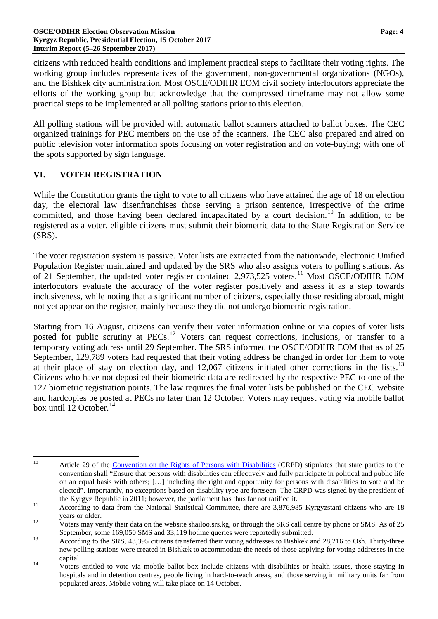citizens with reduced health conditions and implement practical steps to facilitate their voting rights. The working group includes representatives of the government, non-governmental organizations (NGOs), and the Bishkek city administration. Most OSCE/ODIHR EOM civil society interlocutors appreciate the efforts of the working group but acknowledge that the compressed timeframe may not allow some practical steps to be implemented at all polling stations prior to this election.

All polling stations will be provided with automatic ballot scanners attached to ballot boxes. The CEC organized trainings for PEC members on the use of the scanners. The CEC also prepared and aired on public television voter information spots focusing on voter registration and on vote-buying; with one of the spots supported by sign language.

## **VI. VOTER REGISTRATION**

While the Constitution grants the right to vote to all citizens who have attained the age of 18 on election day, the electoral law disenfranchises those serving a prison sentence, irrespective of the crime committed, and those having been declared incapacitated by a court decision.<sup>[10](#page-3-0)</sup> In addition, to be registered as a voter, eligible citizens must submit their biometric data to the State Registration Service (SRS).

The voter registration system is passive. Voter lists are extracted from the nationwide, electronic Unified Population Register maintained and updated by the SRS who also assigns voters to polling stations. As of 21 September, the updated voter register contained 2,973,525 voters.<sup>[11](#page-3-1)</sup> Most OSCE/ODIHR EOM interlocutors evaluate the accuracy of the voter register positively and assess it as a step towards inclusiveness, while noting that a significant number of citizens, especially those residing abroad, might not yet appear on the register, mainly because they did not undergo biometric registration.

Starting from 16 August, citizens can verify their voter information online or via copies of voter lists posted for public scrutiny at PECs.<sup>[12](#page-3-2)</sup> Voters can request corrections, inclusions, or transfer to a temporary voting address until 29 September. The SRS informed the OSCE/ODIHR EOM that as of 25 September, 129,789 voters had requested that their voting address be changed in order for them to vote at their place of stay on election day, and 12,067 citizens initiated other corrections in the lists.<sup>[13](#page-3-3)</sup> Citizens who have not deposited their biometric data are redirected by the respective PEC to one of the 127 biometric registration points. The law requires the final voter lists be published on the CEC website and hardcopies be posted at PECs no later than 12 October. Voters may request voting via mobile ballot box until 12 October.<sup>[14](#page-3-4)</sup>

<span id="page-3-0"></span><sup>&</sup>lt;sup>10</sup> Article 29 of the [Convention on the Rights of Persons with Disabilities](http://www.ohchr.org/EN/HRBodies/CRPD/Pages/ConventionRightsPersonsWithDisabilities.aspx) (CRPD) stipulates that state parties to the convention shall "Ensure that persons with disabilities can effectively and fully participate in political and public life on an equal basis with others; […] including the right and opportunity for persons with disabilities to vote and be elected". Importantly, no exceptions based on disability type are foreseen. The CRPD was signed by the president of

<span id="page-3-1"></span>the Kyrgyz Republic in 2011; however, the parliament has thus far not ratified it.<br><sup>11</sup> According to data from the National Statistical Committee, there are 3,876,985 Kyrgyzstani citizens who are 18 years or older.<br>Voters may verify their data on the website shailoo.srs.kg, or through the SRS call centre by phone or SMS. As of 25

<span id="page-3-2"></span>

<span id="page-3-3"></span>September, some 169,050 SMS and 33,119 hotline queries were reportedly submitted.<br>According to the SRS, 43,395 citizens transferred their voting addresses to Bishkek and 28,216 to Osh. Thirty-three new polling stations were created in Bishkek to accommodate the needs of those applying for voting addresses in the

<span id="page-3-4"></span>capital. <sup>14</sup> Voters entitled to vote via mobile ballot box include citizens with disabilities or health issues, those staying in hospitals and in detention centres, people living in hard-to-reach areas, and those serving in military units far from populated areas. Mobile voting will take place on 14 October.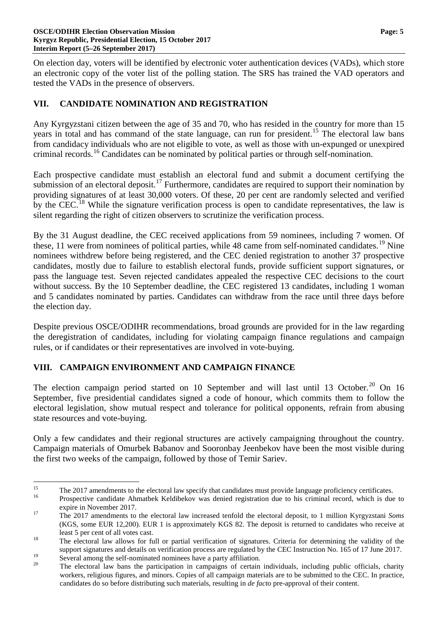On election day, voters will be identified by electronic voter authentication devices (VADs), which store an electronic copy of the voter list of the polling station. The SRS has trained the VAD operators and tested the VADs in the presence of observers.

# **VII. CANDIDATE NOMINATION AND REGISTRATION**

Any Kyrgyzstani citizen between the age of 35 and 70, who has resided in the country for more than 15 years in total and has command of the state language, can run for president.<sup>[15](#page-4-0)</sup> The electoral law bans from candidacy individuals who are not eligible to vote, as well as those with un-expunged or unexpired criminal records.<sup>[16](#page-4-1)</sup> Candidates can be nominated by political parties or through self-nomination.

Each prospective candidate must establish an electoral fund and submit a document certifying the submission of an electoral deposit.<sup>[17](#page-4-2)</sup> Furthermore, candidates are required to support their nomination by providing signatures of at least 30,000 voters. Of these, 20 per cent are randomly selected and verified by the CEC.<sup>[18](#page-4-3)</sup> While the signature verification process is open to candidate representatives, the law is silent regarding the right of citizen observers to scrutinize the verification process.

By the 31 August deadline, the CEC received applications from 59 nominees, including 7 women. Of these, 11 were from nominees of political parties, while 48 came from self-nominated candidates.<sup>[19](#page-4-4)</sup> Nine nominees withdrew before being registered, and the CEC denied registration to another 37 prospective candidates, mostly due to failure to establish electoral funds, provide sufficient support signatures, or pass the language test. Seven rejected candidates appealed the respective CEC decisions to the court without success. By the 10 September deadline, the CEC registered 13 candidates, including 1 woman and 5 candidates nominated by parties. Candidates can withdraw from the race until three days before the election day.

Despite previous OSCE/ODIHR recommendations, broad grounds are provided for in the law regarding the deregistration of candidates, including for violating campaign finance regulations and campaign rules, or if candidates or their representatives are involved in vote-buying.

## **VIII. CAMPAIGN ENVIRONMENT AND CAMPAIGN FINANCE**

The election campaign period started on 10 September and will last until 13 October.<sup>[20](#page-4-5)</sup> On 16 September, five presidential candidates signed a code of honour, which commits them to follow the electoral legislation, show mutual respect and tolerance for political opponents, refrain from abusing state resources and vote-buying.

Only a few candidates and their regional structures are actively campaigning throughout the country. Campaign materials of Omurbek Babanov and Sooronbay Jeenbekov have been the most visible during the first two weeks of the campaign, followed by those of Temir Sariev.

<span id="page-4-0"></span><sup>&</sup>lt;sup>15</sup> The 2017 amendments to the electoral law specify that candidates must provide language proficiency certificates.<br><sup>16</sup> Prospective candidate Ahmatbek Keldibekov was denied registration due to his criminal record, which

<span id="page-4-1"></span>

<span id="page-4-2"></span>expire in November 2017. <sup>17</sup> The 2017 amendments to the electoral law increased tenfold the electoral deposit, to 1 million Kyrgyzstani *Soms* (KGS, some EUR 12,200). EUR 1 is approximately KGS 82. The deposit is returned to candidates who receive at least 5 per cent of all votes cast.<br><sup>18</sup> The electoral law allows for full or partial verification of signatures. Criteria for determining the validity of the

<span id="page-4-3"></span>support signatures and details on verification process are regulated by the CEC Instruction No. 165 of 17 June 2017.

<span id="page-4-5"></span><span id="page-4-4"></span><sup>&</sup>lt;sup>19</sup> Several among the self-nominated nominees have a party affiliation.<br><sup>20</sup> The electoral law bans the participation in campaigns of certain individuals, including public officials, charity workers, religious figures, and minors. Copies of all campaign materials are to be submitted to the CEC. In practice, candidates do so before distributing such materials, resulting in *de facto* pre-approval of their content.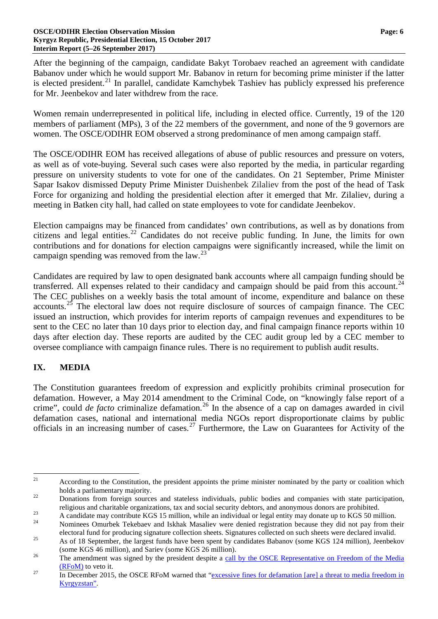After the beginning of the campaign, candidate Bakyt Torobaev reached an agreement with candidate Babanov under which he would support Mr. Babanov in return for becoming prime minister if the latter is elected president.<sup>[21](#page-5-0)</sup> In parallel, candidate Kamchybek Tashiev has publicly expressed his preference for Mr. Jeenbekov and later withdrew from the race.

Women remain underrepresented in political life, including in elected office. Currently, 19 of the 120 members of parliament (MPs), 3 of the 22 members of the government, and none of the 9 governors are women. The OSCE/ODIHR EOM observed a strong predominance of men among campaign staff.

The OSCE/ODIHR EOM has received allegations of abuse of public resources and pressure on voters, as well as of vote-buying. Several such cases were also reported by the media, in particular regarding pressure on university students to vote for one of the candidates. On 21 September, Prime Minister Sapar Isakov dismissed Deputy Prime Minister Duishenbek Zilaliev from the post of the head of Task Force for organizing and holding the presidential election after it emerged that Mr. Zilaliev, during a meeting in Batken city hall, had called on state employees to vote for candidate Jeenbekov.

Election campaigns may be financed from candidates' own contributions, as well as by donations from citizens and legal entities.<sup>[22](#page-5-1)</sup> Candidates do not receive public funding. In June, the limits for own contributions and for donations for election campaigns were significantly increased, while the limit on campaign spending was removed from the law.<sup>[23](#page-5-2)</sup>

Candidates are required by law to open designated bank accounts where all campaign funding should be transferred. All expenses related to their candidacy and campaign should be paid from this account.<sup>[24](#page-5-3)</sup> The CEC publishes on a weekly basis the total amount of income, expenditure and balance on these accounts.<sup>[25](#page-5-4)</sup> The electoral law does not require disclosure of sources of campaign finance. The CEC issued an instruction, which provides for interim reports of campaign revenues and expenditures to be sent to the CEC no later than 10 days prior to election day, and final campaign finance reports within 10 days after election day. These reports are audited by the CEC audit group led by a CEC member to oversee compliance with campaign finance rules. There is no requirement to publish audit results.

# **IX. MEDIA**

The Constitution guarantees freedom of expression and explicitly prohibits criminal prosecution for defamation. However, a May 2014 amendment to the Criminal Code, on "knowingly false report of a crime", could *de facto* criminalize defamation. [26](#page-5-5) In the absence of a cap on damages awarded in civil defamation cases, national and international media NGOs report disproportionate claims by public officials in an increasing number of cases.<sup>[27](#page-5-6)</sup> Furthermore, the Law on Guarantees for Activity of the

<span id="page-5-0"></span><sup>&</sup>lt;sup>21</sup> According to the Constitution, the president appoints the prime minister nominated by the party or coalition which holds a parliamentary majority.<br><sup>22</sup> Donations from foreign sources and stateless individuals, public bodies and companies with state participation,

<span id="page-5-1"></span>

<span id="page-5-2"></span>religious and charitable organizations, tax and social security debtors, and anonymous donors are prohibited.<br>A candidate may contribute KGS 15 million, while an individual or legal entity may donate up to KGS 50 million.<br>

<span id="page-5-3"></span>electoral fund for producing signature collection sheets. Signatures collected on such sheets were declared invalid.<br>As of 18 September, the largest funds have been spent by candidates Babanov (some KGS 124 million), Jeenb

<span id="page-5-4"></span><sup>(</sup>some KGS 46 million), and Sariev (some KGS 26 million).<br><sup>26</sup> The amendment was signed by the president despite a call by the OSCE Representative on Freedom of the Media

<span id="page-5-5"></span> $\frac{(RFoM)}{27}$  $\frac{(RFoM)}{27}$  $\frac{(RFoM)}{27}$  In December 2015, the OSCE RFoM warned that ["excessive fines for defamation \[are\]](http://www.osce.org/fom/210251) a threat to media freedom in

<span id="page-5-6"></span>[Kyrgyzstan".](http://www.osce.org/fom/210251)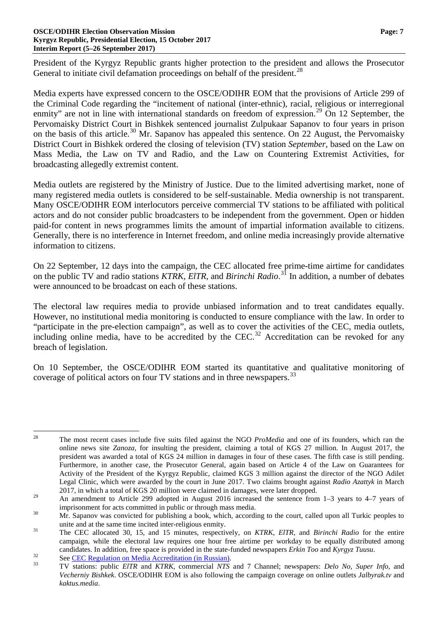President of the Kyrgyz Republic grants higher protection to the president and allows the Prosecutor General to initiate civil defamation proceedings on behalf of the president.<sup>[28](#page-6-0)</sup>

Media experts have expressed concern to the OSCE/ODIHR EOM that the provisions of Article 299 of the Criminal Code regarding the "incitement of national (inter-ethnic), racial, religious or interregional enmity" are not in line with international standards on freedom of expression.<sup>[29](#page-6-1)</sup> On 12 September, the Pervomaisky District Court in Bishkek sentenced journalist Zulpukaar Sapanov to four years in prison on the basis of this article.<sup>[30](#page-6-2)</sup> Mr. Sapanov has appealed this sentence. On 22 August, the Pervomaisky District Court in Bishkek ordered the closing of television (TV) station *September*, based on the Law on Mass Media, the Law on TV and Radio, and the Law on Countering Extremist Activities, for broadcasting allegedly extremist content.

Media outlets are registered by the Ministry of Justice. Due to the limited advertising market, none of many registered media outlets is considered to be self-sustainable. Media ownership is not transparent. Many OSCE/ODIHR EOM interlocutors perceive commercial TV stations to be affiliated with political actors and do not consider public broadcasters to be independent from the government. Open or hidden paid-for content in news programmes limits the amount of impartial information available to citizens. Generally, there is no interference in Internet freedom, and online media increasingly provide alternative information to citizens.

On 22 September, 12 days into the campaign, the CEC allocated free prime-time airtime for candidates on the public TV and radio stations *KTRK*, *ElTR*, and *Birinchi Radio*. [31](#page-6-3) In addition, a number of debates were announced to be broadcast on each of these stations.

The electoral law requires media to provide unbiased information and to treat candidates equally. However, no institutional media monitoring is conducted to ensure compliance with the law. In order to "participate in the pre-election campaign", as well as to cover the activities of the CEC, media outlets, including online media, have to be accredited by the CEC.<sup>[32](#page-6-4)</sup> Accreditation can be revoked for any breach of legislation.

On 10 September, the OSCE/ODIHR EOM started its quantitative and qualitative monitoring of coverage of political actors on four TV stations and in three newspapers.<sup>[33](#page-6-5)</sup>

<span id="page-6-0"></span> <sup>28</sup> The most recent cases include five suits filed against the NGO *ProMedia* and one of its founders, which ran the online news site *Zanoza*, for insulting the president, claiming a total of KGS 27 million. In August 2017, the president was awarded a total of KGS 24 million in damages in four of these cases. The fifth case is still pending. Furthermore, in another case, the Prosecutor General, again based on Article 4 of the Law on Guarantees for Activity of the President of the Kyrgyz Republic, claimed KGS 3 million against the director of the NGO Adilet Legal Clinic, which were awarded by the court in June 2017. Two claims brought against *Radio Azattyk* in March 2017, in which a total of KGS 20 million were claimed in damages, were later dropped.

<span id="page-6-1"></span><sup>&</sup>lt;sup>29</sup> An amendment to Article 299 adopted in August 2016 increased the sentence from 1–3 years to 4–7 years of

imprisonment for acts committed in public or through mass media.<br><sup>30</sup> Mr. Sapanov was convicted for publishing a book, which, according to the court, called upon all Turkic peoples to

<span id="page-6-3"></span><span id="page-6-2"></span>unite and at the same time incited inter-religious enmity. <sup>31</sup> The CEC allocated 30, 15, and 15 minutes, respectively, on *KTRK*, *ElTR,* and *Birinchi Radio* for the entire campaign, while the electoral law requires one hour free airtime per workday to be equally distributed among candidates. In addition, free space is provided in the state-funded newspapers *Erkin Too* and *Kyrgyz Tuusu*.<br>See <u>CEC Regulation on Media Accreditation (in Russian)</u>.<br>TV stations: public *EITR* and *KTRK*, commercial *NT* 

<span id="page-6-4"></span>

<span id="page-6-5"></span>*Vecherniy Bishkek*. OSCE/ODIHR EOM is also following the campaign coverage on online outlets *Jalbyrak.tv* and *kaktus.media*.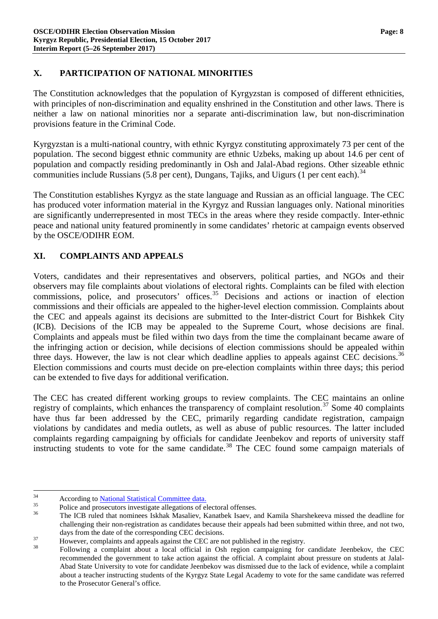## **X. PARTICIPATION OF NATIONAL MINORITIES**

The Constitution acknowledges that the population of Kyrgyzstan is composed of different ethnicities, with principles of non-discrimination and equality enshrined in the Constitution and other laws. There is neither a law on national minorities nor a separate anti-discrimination law, but non-discrimination provisions feature in the Criminal Code.

Kyrgyzstan is a multi-national country, with ethnic Kyrgyz constituting approximately 73 per cent of the population. The second biggest ethnic community are ethnic Uzbeks, making up about 14.6 per cent of population and compactly residing predominantly in Osh and Jalal-Abad regions. Other sizeable ethnic communities include Russians  $(5.8$  per cent), Dungans, Tajiks, and Uigurs  $(1 \text{ per cent each})$ .<sup>[34](#page-7-0)</sup>

The Constitution establishes Kyrgyz as the state language and Russian as an official language. The CEC has produced voter information material in the Kyrgyz and Russian languages only. National minorities are significantly underrepresented in most TECs in the areas where they reside compactly. Inter-ethnic peace and national unity featured prominently in some candidates' rhetoric at campaign events observed by the OSCE/ODIHR EOM.

# **XI. COMPLAINTS AND APPEALS**

Voters, candidates and their representatives and observers, political parties, and NGOs and their observers may file complaints about violations of electoral rights. Complaints can be filed with election commissions, police, and prosecutors' offices.<sup>[35](#page-7-1)</sup> Decisions and actions or inaction of election commissions and their officials are appealed to the higher-level election commission. Complaints about the CEC and appeals against its decisions are submitted to the Inter-district Court for Bishkek City (ICB). Decisions of the ICB may be appealed to the Supreme Court, whose decisions are final. Complaints and appeals must be filed within two days from the time the complainant became aware of the infringing action or decision, while decisions of election commissions should be appealed within three days. However, the law is not clear which deadline applies to appeals against CEC decisions.<sup>[36](#page-7-2)</sup> Election commissions and courts must decide on pre-election complaints within three days; this period can be extended to five days for additional verification.

The CEC has created different working groups to review complaints. The CEC maintains an online registry of complaints, which enhances the transparency of complaint resolution.<sup>[37](#page-7-3)</sup> Some 40 complaints have thus far been addressed by the CEC, primarily regarding candidate registration, campaign violations by candidates and media outlets, as well as abuse of public resources. The latter included complaints regarding campaigning by officials for candidate Jeenbekov and reports of university staff instructing students to vote for the same candidate.<sup>[38](#page-7-4)</sup> The CEC found some campaign materials of

<span id="page-7-2"></span><span id="page-7-1"></span>

<span id="page-7-0"></span><sup>&</sup>lt;sup>34</sup><br>According to <u>National Statistical Committee data.</u><br>Police and prosecutors investigate allegations of electoral offenses.<br><sup>36</sup> The ICB ruled that nominees Iskhak Masaliev, Kanatbek Isaev, and Kamila Sharshekeeva misse challenging their non-registration as candidates because their appeals had been submitted within three, and not two,

<span id="page-7-4"></span>

<span id="page-7-3"></span>days from the date of the corresponding CEC decisions.<br>
However, complaints and appeals against the CEC are not published in the registry.<br>
Following a complaint about a local official in Osh region campaigning for candida recommended the government to take action against the official. A complaint about pressure on students at Jalal-Abad State University to vote for candidate Jeenbekov was dismissed due to the lack of evidence, while a complaint about a teacher instructing students of the Kyrgyz State Legal Academy to vote for the same candidate was referred to the Prosecutor General's office.